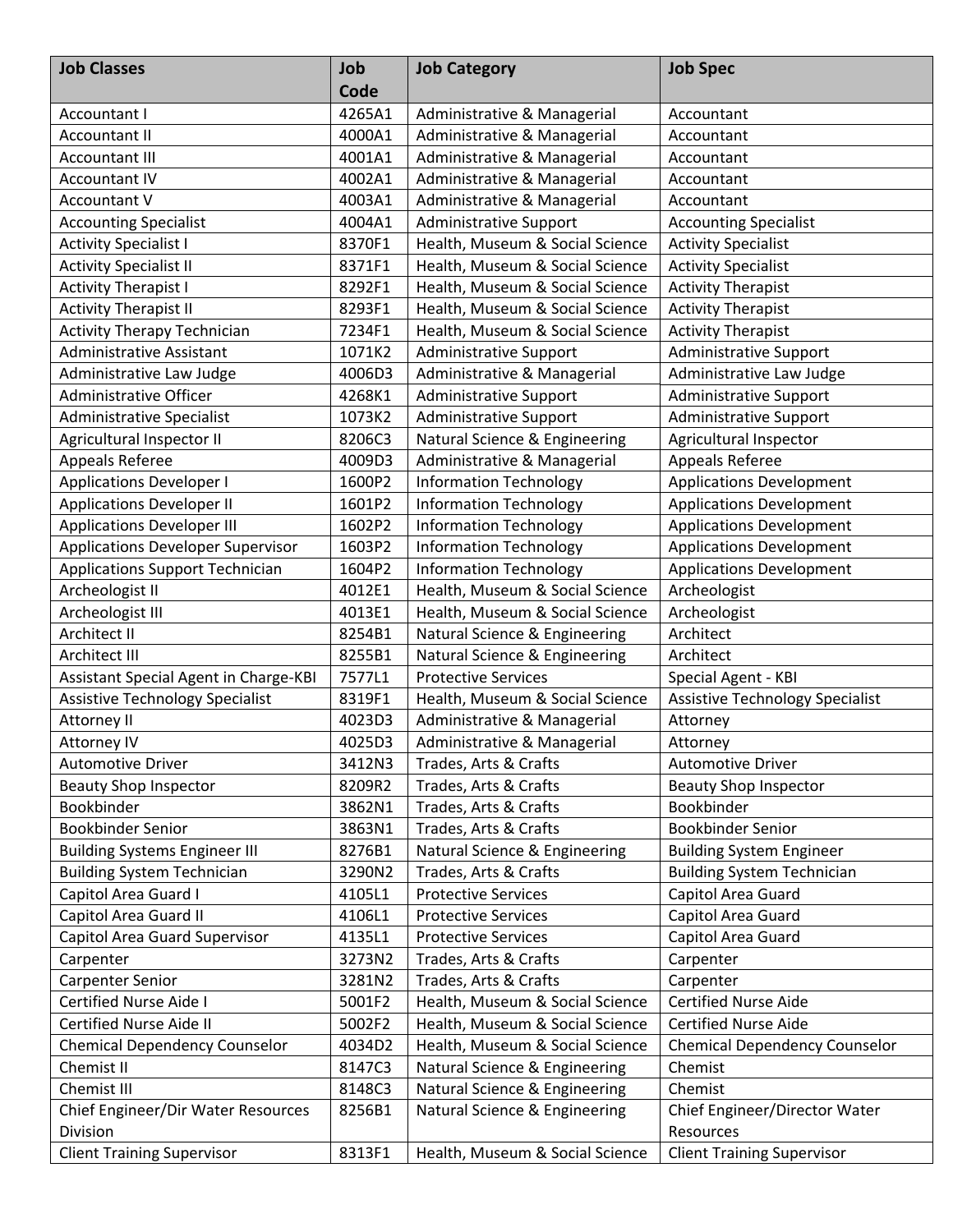| <b>Job Classes</b>                       | Job<br>Code | <b>Job Category</b>             | <b>Job Spec</b>                        |
|------------------------------------------|-------------|---------------------------------|----------------------------------------|
| Accountant I                             | 4265A1      | Administrative & Managerial     | Accountant                             |
| <b>Accountant II</b>                     | 4000A1      | Administrative & Managerial     | Accountant                             |
| <b>Accountant III</b>                    | 4001A1      | Administrative & Managerial     | Accountant                             |
| <b>Accountant IV</b>                     | 4002A1      | Administrative & Managerial     | Accountant                             |
| Accountant V                             | 4003A1      | Administrative & Managerial     | Accountant                             |
| <b>Accounting Specialist</b>             | 4004A1      | <b>Administrative Support</b>   | <b>Accounting Specialist</b>           |
| <b>Activity Specialist I</b>             | 8370F1      | Health, Museum & Social Science | <b>Activity Specialist</b>             |
| <b>Activity Specialist II</b>            | 8371F1      | Health, Museum & Social Science | <b>Activity Specialist</b>             |
| <b>Activity Therapist I</b>              | 8292F1      | Health, Museum & Social Science | <b>Activity Therapist</b>              |
| <b>Activity Therapist II</b>             | 8293F1      | Health, Museum & Social Science | <b>Activity Therapist</b>              |
| <b>Activity Therapy Technician</b>       | 7234F1      | Health, Museum & Social Science | <b>Activity Therapist</b>              |
| <b>Administrative Assistant</b>          | 1071K2      | <b>Administrative Support</b>   | <b>Administrative Support</b>          |
| Administrative Law Judge                 | 4006D3      | Administrative & Managerial     | Administrative Law Judge               |
| Administrative Officer                   | 4268K1      | <b>Administrative Support</b>   | <b>Administrative Support</b>          |
| <b>Administrative Specialist</b>         | 1073K2      | <b>Administrative Support</b>   | <b>Administrative Support</b>          |
| Agricultural Inspector II                | 8206C3      | Natural Science & Engineering   | Agricultural Inspector                 |
| Appeals Referee                          | 4009D3      | Administrative & Managerial     | Appeals Referee                        |
| <b>Applications Developer I</b>          | 1600P2      | <b>Information Technology</b>   | <b>Applications Development</b>        |
| <b>Applications Developer II</b>         | 1601P2      | <b>Information Technology</b>   | <b>Applications Development</b>        |
| <b>Applications Developer III</b>        | 1602P2      | <b>Information Technology</b>   | <b>Applications Development</b>        |
| <b>Applications Developer Supervisor</b> | 1603P2      | <b>Information Technology</b>   | <b>Applications Development</b>        |
| <b>Applications Support Technician</b>   | 1604P2      | <b>Information Technology</b>   | <b>Applications Development</b>        |
| Archeologist II                          | 4012E1      | Health, Museum & Social Science | Archeologist                           |
| Archeologist III                         | 4013E1      | Health, Museum & Social Science | Archeologist                           |
| Architect II                             | 8254B1      | Natural Science & Engineering   | Architect                              |
| Architect III                            | 8255B1      | Natural Science & Engineering   | Architect                              |
| Assistant Special Agent in Charge-KBI    | 7577L1      | <b>Protective Services</b>      | Special Agent - KBI                    |
| <b>Assistive Technology Specialist</b>   | 8319F1      | Health, Museum & Social Science | <b>Assistive Technology Specialist</b> |
| Attorney II                              | 4023D3      | Administrative & Managerial     | Attorney                               |
| Attorney IV                              | 4025D3      | Administrative & Managerial     | Attorney                               |
| <b>Automotive Driver</b>                 | 3412N3      | Trades, Arts & Crafts           | <b>Automotive Driver</b>               |
| <b>Beauty Shop Inspector</b>             | 8209R2      | Trades, Arts & Crafts           | <b>Beauty Shop Inspector</b>           |
| Bookbinder                               | 3862N1      | Trades, Arts & Crafts           | Bookbinder                             |
| <b>Bookbinder Senior</b>                 | 3863N1      | Trades, Arts & Crafts           | Bookbinder Senior                      |
| <b>Building Systems Engineer III</b>     | 8276B1      | Natural Science & Engineering   | <b>Building System Engineer</b>        |
| <b>Building System Technician</b>        | 3290N2      | Trades, Arts & Crafts           | <b>Building System Technician</b>      |
| Capitol Area Guard I                     | 4105L1      | <b>Protective Services</b>      | Capitol Area Guard                     |
| Capitol Area Guard II                    | 4106L1      | <b>Protective Services</b>      | Capitol Area Guard                     |
| Capitol Area Guard Supervisor            | 4135L1      | <b>Protective Services</b>      | Capitol Area Guard                     |
| Carpenter                                | 3273N2      | Trades, Arts & Crafts           | Carpenter                              |
| <b>Carpenter Senior</b>                  | 3281N2      | Trades, Arts & Crafts           | Carpenter                              |
| Certified Nurse Aide I                   | 5001F2      | Health, Museum & Social Science | <b>Certified Nurse Aide</b>            |
| Certified Nurse Aide II                  | 5002F2      | Health, Museum & Social Science | <b>Certified Nurse Aide</b>            |
| <b>Chemical Dependency Counselor</b>     | 4034D2      | Health, Museum & Social Science | <b>Chemical Dependency Counselor</b>   |
| Chemist II                               | 8147C3      | Natural Science & Engineering   | Chemist                                |
| Chemist III                              | 8148C3      | Natural Science & Engineering   | Chemist                                |
| Chief Engineer/Dir Water Resources       | 8256B1      | Natural Science & Engineering   | Chief Engineer/Director Water          |
| Division                                 |             |                                 | Resources                              |
| <b>Client Training Supervisor</b>        | 8313F1      | Health, Museum & Social Science | <b>Client Training Supervisor</b>      |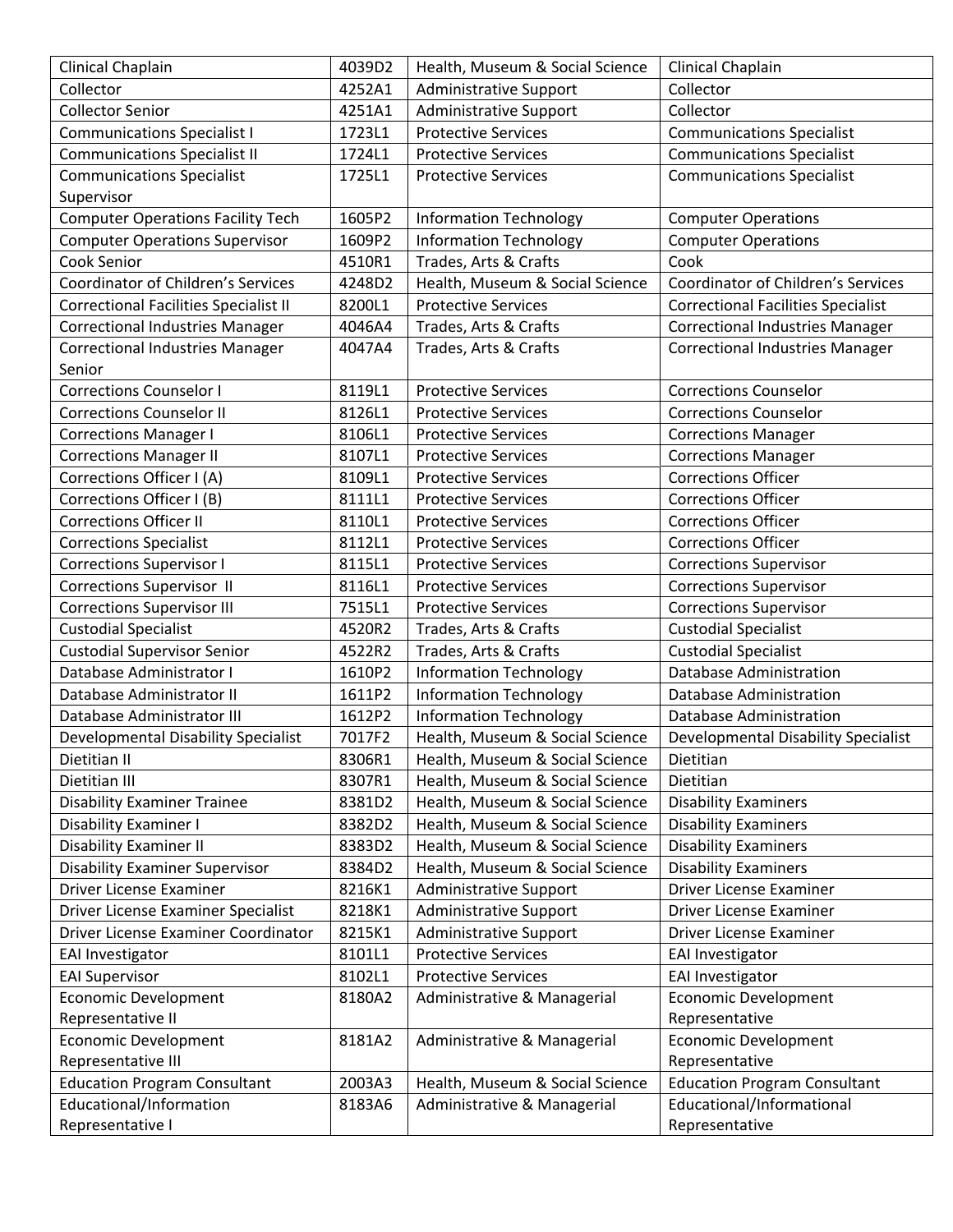| Clinical Chaplain                            | 4039D2 | Health, Museum & Social Science | Clinical Chaplain                          |
|----------------------------------------------|--------|---------------------------------|--------------------------------------------|
| Collector                                    | 4252A1 | <b>Administrative Support</b>   | Collector                                  |
| <b>Collector Senior</b>                      | 4251A1 | Administrative Support          | Collector                                  |
| <b>Communications Specialist I</b>           | 1723L1 | <b>Protective Services</b>      | <b>Communications Specialist</b>           |
| <b>Communications Specialist II</b>          | 1724L1 | <b>Protective Services</b>      | <b>Communications Specialist</b>           |
| <b>Communications Specialist</b>             | 1725L1 | <b>Protective Services</b>      | <b>Communications Specialist</b>           |
| Supervisor                                   |        |                                 |                                            |
| <b>Computer Operations Facility Tech</b>     | 1605P2 | <b>Information Technology</b>   | <b>Computer Operations</b>                 |
| <b>Computer Operations Supervisor</b>        | 1609P2 | <b>Information Technology</b>   | <b>Computer Operations</b>                 |
| Cook Senior                                  | 4510R1 | Trades, Arts & Crafts           | Cook                                       |
| Coordinator of Children's Services           | 4248D2 | Health, Museum & Social Science | Coordinator of Children's Services         |
| <b>Correctional Facilities Specialist II</b> | 8200L1 | <b>Protective Services</b>      | <b>Correctional Facilities Specialist</b>  |
| <b>Correctional Industries Manager</b>       | 4046A4 | Trades, Arts & Crafts           | <b>Correctional Industries Manager</b>     |
| <b>Correctional Industries Manager</b>       | 4047A4 | Trades, Arts & Crafts           | <b>Correctional Industries Manager</b>     |
| Senior                                       |        |                                 |                                            |
| <b>Corrections Counselor I</b>               | 8119L1 | <b>Protective Services</b>      | <b>Corrections Counselor</b>               |
| <b>Corrections Counselor II</b>              | 8126L1 | <b>Protective Services</b>      | <b>Corrections Counselor</b>               |
| <b>Corrections Manager I</b>                 | 8106L1 | <b>Protective Services</b>      | <b>Corrections Manager</b>                 |
| <b>Corrections Manager II</b>                | 8107L1 | <b>Protective Services</b>      | <b>Corrections Manager</b>                 |
| Corrections Officer I (A)                    | 8109L1 | <b>Protective Services</b>      | <b>Corrections Officer</b>                 |
| Corrections Officer I (B)                    | 8111L1 | <b>Protective Services</b>      | <b>Corrections Officer</b>                 |
| <b>Corrections Officer II</b>                | 8110L1 | <b>Protective Services</b>      | <b>Corrections Officer</b>                 |
| <b>Corrections Specialist</b>                | 8112L1 | <b>Protective Services</b>      | <b>Corrections Officer</b>                 |
| <b>Corrections Supervisor I</b>              | 8115L1 | <b>Protective Services</b>      | <b>Corrections Supervisor</b>              |
| Corrections Supervisor II                    | 8116L1 | <b>Protective Services</b>      | <b>Corrections Supervisor</b>              |
| <b>Corrections Supervisor III</b>            | 7515L1 | <b>Protective Services</b>      | <b>Corrections Supervisor</b>              |
| <b>Custodial Specialist</b>                  | 4520R2 | Trades, Arts & Crafts           | <b>Custodial Specialist</b>                |
| <b>Custodial Supervisor Senior</b>           | 4522R2 | Trades, Arts & Crafts           | <b>Custodial Specialist</b>                |
| Database Administrator I                     | 1610P2 | <b>Information Technology</b>   | <b>Database Administration</b>             |
| Database Administrator II                    | 1611P2 | <b>Information Technology</b>   | Database Administration                    |
| Database Administrator III                   | 1612P2 | <b>Information Technology</b>   | <b>Database Administration</b>             |
| Developmental Disability Specialist          | 7017F2 | Health, Museum & Social Science | <b>Developmental Disability Specialist</b> |
| Dietitian II                                 | 8306R1 | Health, Museum & Social Science | Dietitian                                  |
| Dietitian III                                | 8307R1 | Health, Museum & Social Science | Dietitian                                  |
| <b>Disability Examiner Trainee</b>           | 8381D2 | Health, Museum & Social Science | <b>Disability Examiners</b>                |
| Disability Examiner I                        | 8382D2 | Health, Museum & Social Science | <b>Disability Examiners</b>                |
| <b>Disability Examiner II</b>                | 8383D2 | Health, Museum & Social Science | <b>Disability Examiners</b>                |
| <b>Disability Examiner Supervisor</b>        | 8384D2 | Health, Museum & Social Science | <b>Disability Examiners</b>                |
| <b>Driver License Examiner</b>               | 8216K1 | <b>Administrative Support</b>   | Driver License Examiner                    |
| Driver License Examiner Specialist           | 8218K1 | Administrative Support          | Driver License Examiner                    |
| Driver License Examiner Coordinator          | 8215K1 | Administrative Support          | Driver License Examiner                    |
| <b>EAI Investigator</b>                      | 8101L1 | <b>Protective Services</b>      | EAI Investigator                           |
| <b>EAI Supervisor</b>                        | 8102L1 | <b>Protective Services</b>      | EAI Investigator                           |
| <b>Economic Development</b>                  | 8180A2 | Administrative & Managerial     | <b>Economic Development</b>                |
| Representative II                            |        |                                 | Representative                             |
| Economic Development                         | 8181A2 | Administrative & Managerial     | <b>Economic Development</b>                |
| Representative III                           |        |                                 | Representative                             |
| <b>Education Program Consultant</b>          | 2003A3 | Health, Museum & Social Science | <b>Education Program Consultant</b>        |
| Educational/Information                      | 8183A6 | Administrative & Managerial     | Educational/Informational                  |
| Representative I                             |        |                                 | Representative                             |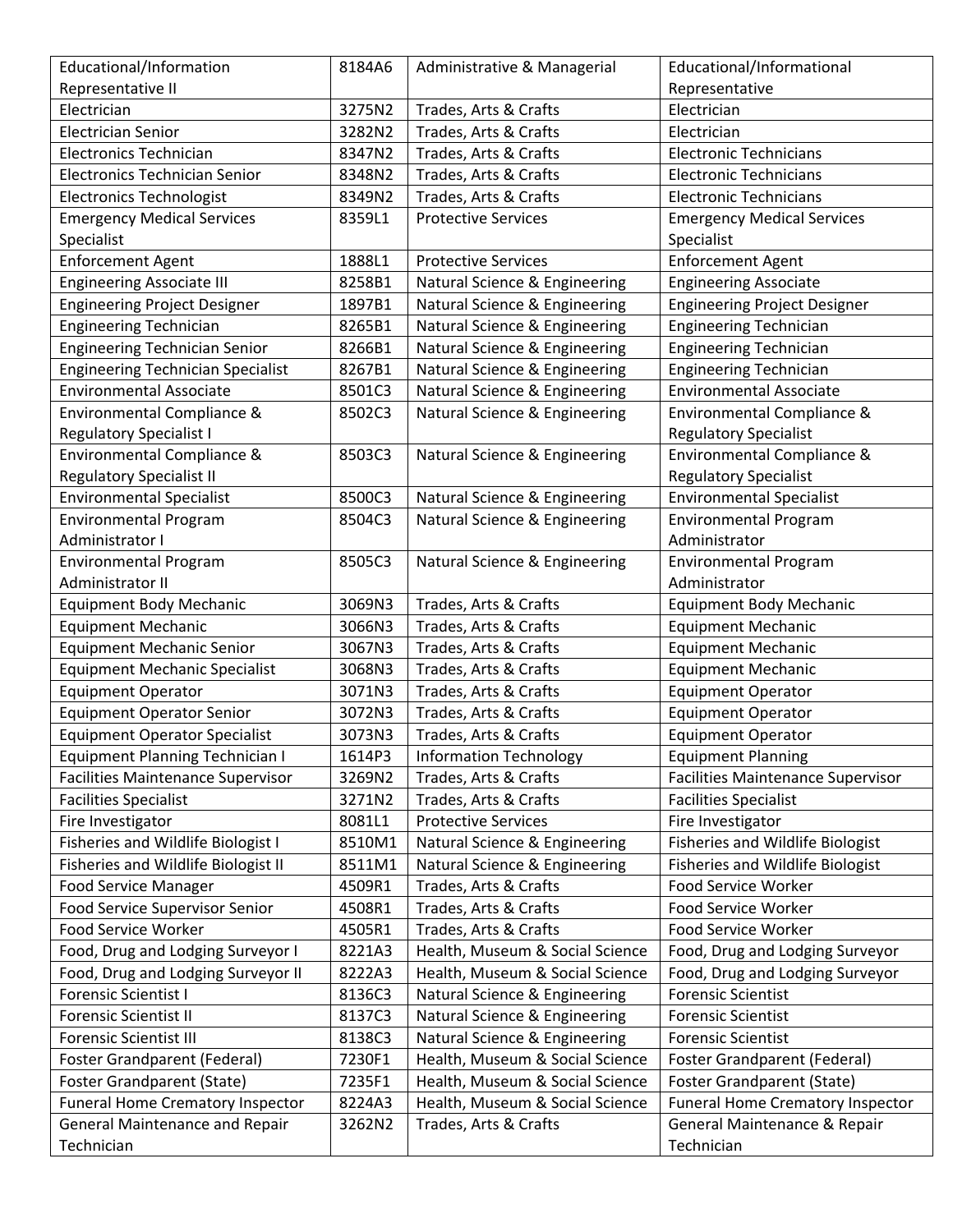| Educational/Information                  | 8184A6 | Administrative & Managerial     | Educational/Informational                |
|------------------------------------------|--------|---------------------------------|------------------------------------------|
| Representative II                        |        |                                 | Representative                           |
| Electrician                              | 3275N2 | Trades, Arts & Crafts           | Electrician                              |
| <b>Electrician Senior</b>                | 3282N2 | Trades, Arts & Crafts           | Electrician                              |
| <b>Electronics Technician</b>            | 8347N2 | Trades, Arts & Crafts           | <b>Electronic Technicians</b>            |
| Electronics Technician Senior            | 8348N2 | Trades, Arts & Crafts           | <b>Electronic Technicians</b>            |
| <b>Electronics Technologist</b>          | 8349N2 | Trades, Arts & Crafts           | <b>Electronic Technicians</b>            |
| <b>Emergency Medical Services</b>        | 8359L1 | <b>Protective Services</b>      | <b>Emergency Medical Services</b>        |
| Specialist                               |        |                                 | Specialist                               |
| <b>Enforcement Agent</b>                 | 1888L1 | <b>Protective Services</b>      | <b>Enforcement Agent</b>                 |
| <b>Engineering Associate III</b>         | 8258B1 | Natural Science & Engineering   | <b>Engineering Associate</b>             |
| <b>Engineering Project Designer</b>      | 1897B1 | Natural Science & Engineering   | <b>Engineering Project Designer</b>      |
| <b>Engineering Technician</b>            | 8265B1 | Natural Science & Engineering   | <b>Engineering Technician</b>            |
| <b>Engineering Technician Senior</b>     | 8266B1 | Natural Science & Engineering   | <b>Engineering Technician</b>            |
| <b>Engineering Technician Specialist</b> | 8267B1 | Natural Science & Engineering   | <b>Engineering Technician</b>            |
| <b>Environmental Associate</b>           | 8501C3 | Natural Science & Engineering   | <b>Environmental Associate</b>           |
| Environmental Compliance &               | 8502C3 | Natural Science & Engineering   | Environmental Compliance &               |
| <b>Regulatory Specialist I</b>           |        |                                 | <b>Regulatory Specialist</b>             |
| Environmental Compliance &               | 8503C3 | Natural Science & Engineering   | Environmental Compliance &               |
| <b>Regulatory Specialist II</b>          |        |                                 | <b>Regulatory Specialist</b>             |
| <b>Environmental Specialist</b>          | 8500C3 | Natural Science & Engineering   | <b>Environmental Specialist</b>          |
| <b>Environmental Program</b>             | 8504C3 | Natural Science & Engineering   | <b>Environmental Program</b>             |
| Administrator I                          |        |                                 | Administrator                            |
| <b>Environmental Program</b>             | 8505C3 | Natural Science & Engineering   | <b>Environmental Program</b>             |
| Administrator II                         |        |                                 | Administrator                            |
| <b>Equipment Body Mechanic</b>           | 3069N3 | Trades, Arts & Crafts           | <b>Equipment Body Mechanic</b>           |
| <b>Equipment Mechanic</b>                | 3066N3 | Trades, Arts & Crafts           | <b>Equipment Mechanic</b>                |
| <b>Equipment Mechanic Senior</b>         | 3067N3 | Trades, Arts & Crafts           | <b>Equipment Mechanic</b>                |
| <b>Equipment Mechanic Specialist</b>     | 3068N3 | Trades, Arts & Crafts           | <b>Equipment Mechanic</b>                |
| <b>Equipment Operator</b>                | 3071N3 | Trades, Arts & Crafts           | <b>Equipment Operator</b>                |
| <b>Equipment Operator Senior</b>         | 3072N3 | Trades, Arts & Crafts           | <b>Equipment Operator</b>                |
| <b>Equipment Operator Specialist</b>     | 3073N3 | Trades, Arts & Crafts           | <b>Equipment Operator</b>                |
| <b>Equipment Planning Technician I</b>   | 1614P3 | <b>Information Technology</b>   | <b>Equipment Planning</b>                |
| <b>Facilities Maintenance Supervisor</b> | 3269N2 | Trades, Arts & Crafts           | <b>Facilities Maintenance Supervisor</b> |
| <b>Facilities Specialist</b>             | 3271N2 | Trades, Arts & Crafts           | <b>Facilities Specialist</b>             |
| Fire Investigator                        | 8081L1 | <b>Protective Services</b>      | Fire Investigator                        |
| Fisheries and Wildlife Biologist I       | 8510M1 | Natural Science & Engineering   | <b>Fisheries and Wildlife Biologist</b>  |
| Fisheries and Wildlife Biologist II      | 8511M1 | Natural Science & Engineering   | <b>Fisheries and Wildlife Biologist</b>  |
| <b>Food Service Manager</b>              | 4509R1 | Trades, Arts & Crafts           | Food Service Worker                      |
| Food Service Supervisor Senior           | 4508R1 | Trades, Arts & Crafts           | Food Service Worker                      |
| Food Service Worker                      | 4505R1 | Trades, Arts & Crafts           | Food Service Worker                      |
| Food, Drug and Lodging Surveyor I        | 8221A3 | Health, Museum & Social Science | Food, Drug and Lodging Surveyor          |
| Food, Drug and Lodging Surveyor II       | 8222A3 | Health, Museum & Social Science | Food, Drug and Lodging Surveyor          |
| Forensic Scientist I                     | 8136C3 | Natural Science & Engineering   | <b>Forensic Scientist</b>                |
| <b>Forensic Scientist II</b>             | 8137C3 | Natural Science & Engineering   | <b>Forensic Scientist</b>                |
| <b>Forensic Scientist III</b>            | 8138C3 | Natural Science & Engineering   | <b>Forensic Scientist</b>                |
| Foster Grandparent (Federal)             | 7230F1 | Health, Museum & Social Science | Foster Grandparent (Federal)             |
| <b>Foster Grandparent (State)</b>        | 7235F1 | Health, Museum & Social Science | <b>Foster Grandparent (State)</b>        |
| Funeral Home Crematory Inspector         | 8224A3 | Health, Museum & Social Science | <b>Funeral Home Crematory Inspector</b>  |
| <b>General Maintenance and Repair</b>    | 3262N2 | Trades, Arts & Crafts           | General Maintenance & Repair             |
| Technician                               |        |                                 | Technician                               |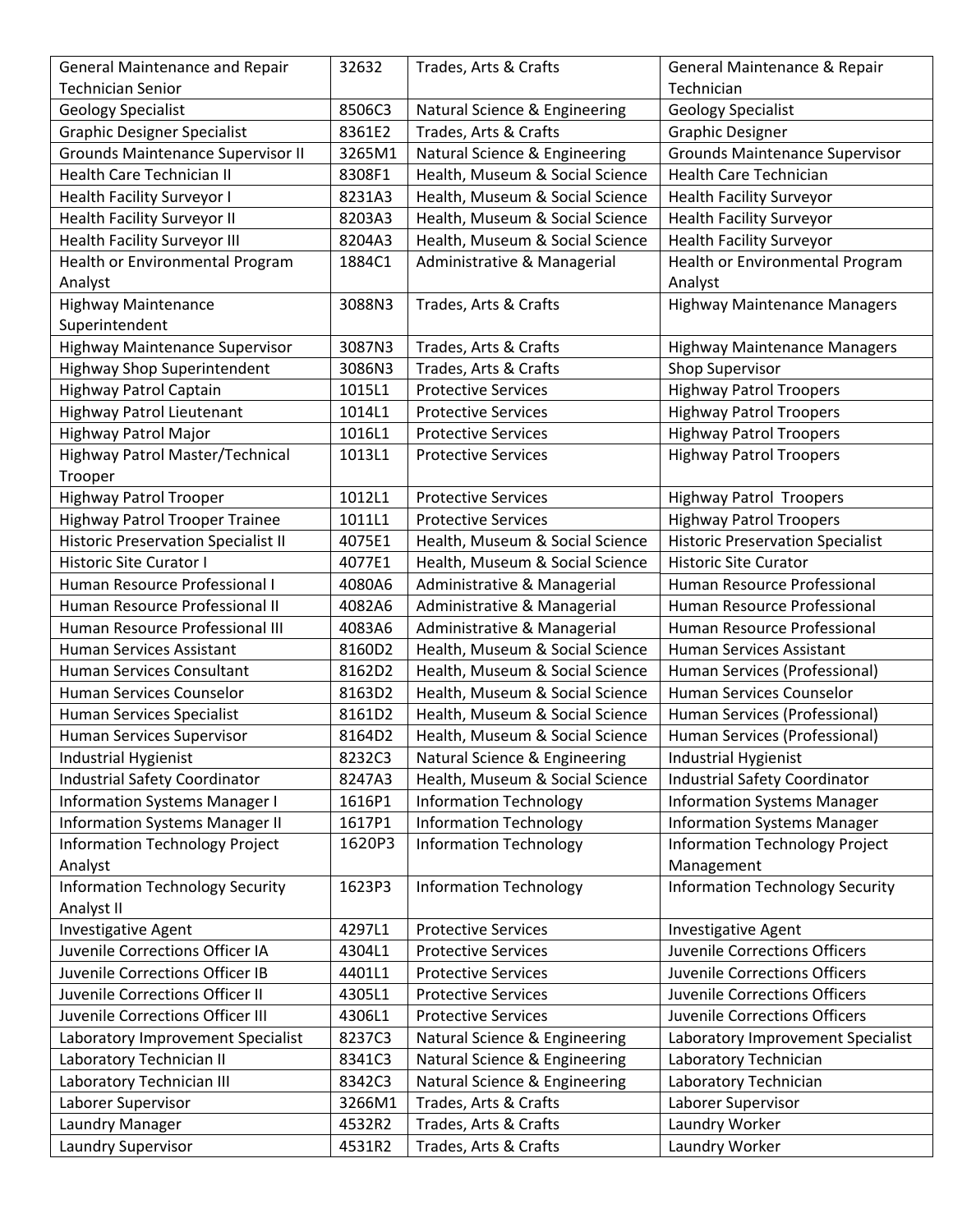| <b>General Maintenance and Repair</b>      | 32632  | Trades, Arts & Crafts           | General Maintenance & Repair            |
|--------------------------------------------|--------|---------------------------------|-----------------------------------------|
| <b>Technician Senior</b>                   |        |                                 | Technician                              |
| <b>Geology Specialist</b>                  | 8506C3 | Natural Science & Engineering   | <b>Geology Specialist</b>               |
| <b>Graphic Designer Specialist</b>         | 8361E2 | Trades, Arts & Crafts           | <b>Graphic Designer</b>                 |
| <b>Grounds Maintenance Supervisor II</b>   | 3265M1 | Natural Science & Engineering   | <b>Grounds Maintenance Supervisor</b>   |
| <b>Health Care Technician II</b>           | 8308F1 | Health, Museum & Social Science | <b>Health Care Technician</b>           |
| <b>Health Facility Surveyor I</b>          | 8231A3 | Health, Museum & Social Science | <b>Health Facility Surveyor</b>         |
| <b>Health Facility Surveyor II</b>         | 8203A3 | Health, Museum & Social Science | <b>Health Facility Surveyor</b>         |
| <b>Health Facility Surveyor III</b>        | 8204A3 | Health, Museum & Social Science | <b>Health Facility Surveyor</b>         |
| Health or Environmental Program            | 1884C1 | Administrative & Managerial     | Health or Environmental Program         |
| Analyst                                    |        |                                 | Analyst                                 |
| <b>Highway Maintenance</b>                 | 3088N3 | Trades, Arts & Crafts           | <b>Highway Maintenance Managers</b>     |
| Superintendent                             |        |                                 |                                         |
| <b>Highway Maintenance Supervisor</b>      | 3087N3 | Trades, Arts & Crafts           | <b>Highway Maintenance Managers</b>     |
| Highway Shop Superintendent                | 3086N3 | Trades, Arts & Crafts           | <b>Shop Supervisor</b>                  |
| Highway Patrol Captain                     | 1015L1 | <b>Protective Services</b>      | <b>Highway Patrol Troopers</b>          |
| Highway Patrol Lieutenant                  | 1014L1 | <b>Protective Services</b>      | <b>Highway Patrol Troopers</b>          |
| Highway Patrol Major                       | 1016L1 | <b>Protective Services</b>      | <b>Highway Patrol Troopers</b>          |
| Highway Patrol Master/Technical            | 1013L1 | <b>Protective Services</b>      | <b>Highway Patrol Troopers</b>          |
| Trooper                                    |        |                                 |                                         |
| <b>Highway Patrol Trooper</b>              | 1012L1 | <b>Protective Services</b>      | <b>Highway Patrol Troopers</b>          |
| Highway Patrol Trooper Trainee             | 1011L1 | <b>Protective Services</b>      | <b>Highway Patrol Troopers</b>          |
| <b>Historic Preservation Specialist II</b> | 4075E1 | Health, Museum & Social Science | <b>Historic Preservation Specialist</b> |
| <b>Historic Site Curator I</b>             | 4077E1 | Health, Museum & Social Science | <b>Historic Site Curator</b>            |
| Human Resource Professional I              | 4080A6 | Administrative & Managerial     | Human Resource Professional             |
| Human Resource Professional II             | 4082A6 | Administrative & Managerial     | Human Resource Professional             |
| Human Resource Professional III            | 4083A6 | Administrative & Managerial     | Human Resource Professional             |
| Human Services Assistant                   | 8160D2 | Health, Museum & Social Science | Human Services Assistant                |
| Human Services Consultant                  | 8162D2 | Health, Museum & Social Science | Human Services (Professional)           |
| Human Services Counselor                   | 8163D2 | Health, Museum & Social Science | Human Services Counselor                |
| Human Services Specialist                  | 8161D2 | Health, Museum & Social Science | Human Services (Professional)           |
| Human Services Supervisor                  | 8164D2 | Health, Museum & Social Science | Human Services (Professional)           |
| Industrial Hygienist                       | 8232C3 | Natural Science & Engineering   | Industrial Hygienist                    |
| <b>Industrial Safety Coordinator</b>       | 8247A3 | Health, Museum & Social Science | <b>Industrial Safety Coordinator</b>    |
| <b>Information Systems Manager I</b>       | 1616P1 | <b>Information Technology</b>   | <b>Information Systems Manager</b>      |
| <b>Information Systems Manager II</b>      | 1617P1 | <b>Information Technology</b>   | <b>Information Systems Manager</b>      |
| <b>Information Technology Project</b>      | 1620P3 | <b>Information Technology</b>   | <b>Information Technology Project</b>   |
| Analyst                                    |        |                                 | Management                              |
| <b>Information Technology Security</b>     | 1623P3 | <b>Information Technology</b>   | <b>Information Technology Security</b>  |
| Analyst II                                 |        |                                 |                                         |
| Investigative Agent                        | 4297L1 | <b>Protective Services</b>      | <b>Investigative Agent</b>              |
| Juvenile Corrections Officer IA            | 4304L1 | <b>Protective Services</b>      | Juvenile Corrections Officers           |
| Juvenile Corrections Officer IB            | 4401L1 | <b>Protective Services</b>      | Juvenile Corrections Officers           |
| Juvenile Corrections Officer II            | 4305L1 | <b>Protective Services</b>      | Juvenile Corrections Officers           |
| Juvenile Corrections Officer III           | 4306L1 | <b>Protective Services</b>      | Juvenile Corrections Officers           |
| Laboratory Improvement Specialist          | 8237C3 | Natural Science & Engineering   | Laboratory Improvement Specialist       |
| Laboratory Technician II                   | 8341C3 | Natural Science & Engineering   | Laboratory Technician                   |
| Laboratory Technician III                  | 8342C3 | Natural Science & Engineering   | Laboratory Technician                   |
| Laborer Supervisor                         | 3266M1 | Trades, Arts & Crafts           | Laborer Supervisor                      |
| Laundry Manager                            | 4532R2 | Trades, Arts & Crafts           | Laundry Worker                          |
| Laundry Supervisor                         | 4531R2 | Trades, Arts & Crafts           | Laundry Worker                          |
|                                            |        |                                 |                                         |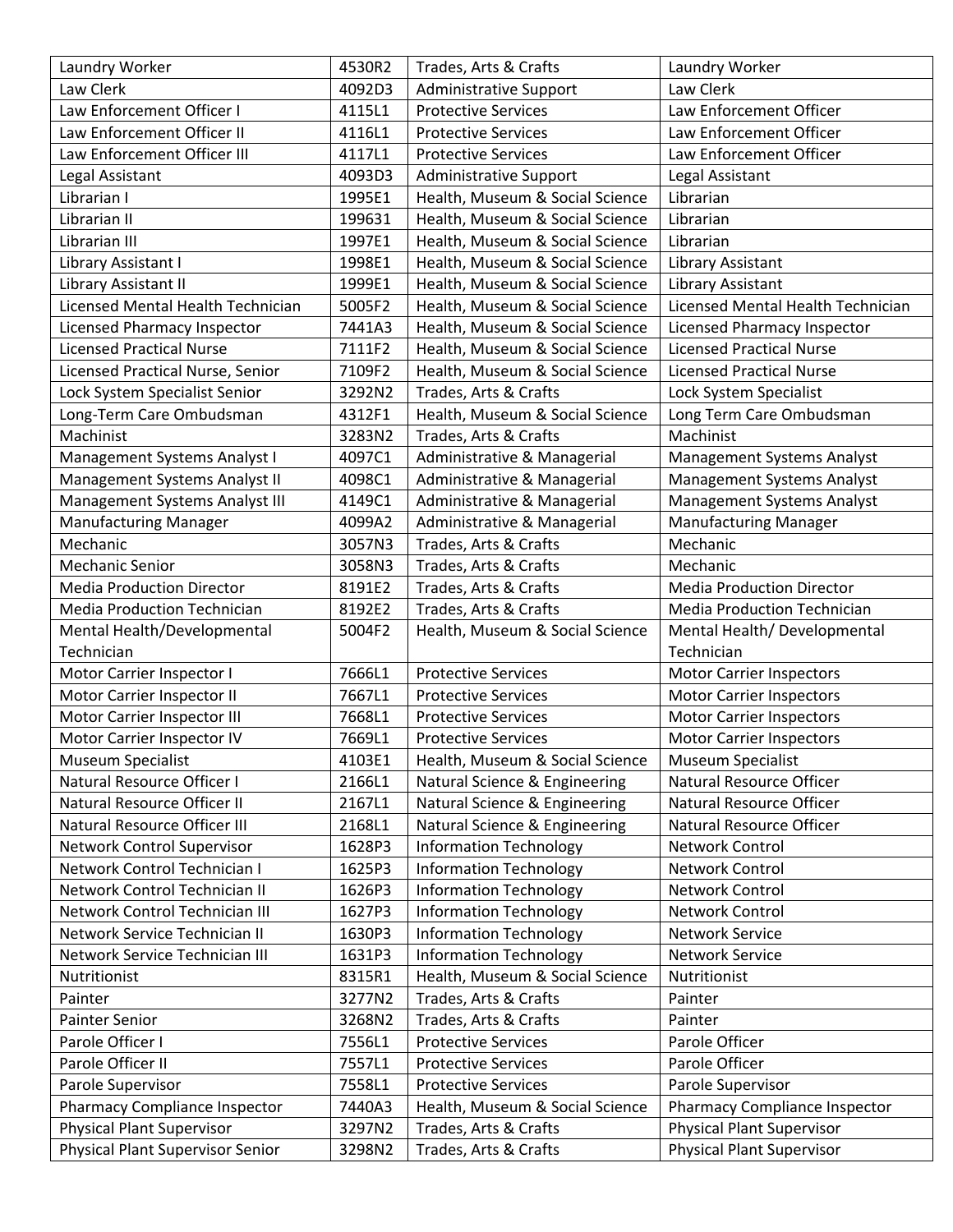| Laundry Worker                          | 4530R2 | Trades, Arts & Crafts           | Laundry Worker                     |
|-----------------------------------------|--------|---------------------------------|------------------------------------|
| Law Clerk                               | 4092D3 | <b>Administrative Support</b>   | Law Clerk                          |
| Law Enforcement Officer I               | 4115L1 | <b>Protective Services</b>      | Law Enforcement Officer            |
| Law Enforcement Officer II              | 4116L1 | <b>Protective Services</b>      | Law Enforcement Officer            |
| Law Enforcement Officer III             | 4117L1 | <b>Protective Services</b>      | Law Enforcement Officer            |
| Legal Assistant                         | 4093D3 | Administrative Support          | Legal Assistant                    |
| Librarian I                             | 1995E1 | Health, Museum & Social Science | Librarian                          |
| Librarian II                            | 199631 | Health, Museum & Social Science | Librarian                          |
| Librarian III                           | 1997E1 | Health, Museum & Social Science | Librarian                          |
| Library Assistant I                     | 1998E1 | Health, Museum & Social Science | Library Assistant                  |
| Library Assistant II                    | 1999E1 | Health, Museum & Social Science | Library Assistant                  |
| Licensed Mental Health Technician       | 5005F2 | Health, Museum & Social Science | Licensed Mental Health Technician  |
| Licensed Pharmacy Inspector             | 7441A3 | Health, Museum & Social Science | Licensed Pharmacy Inspector        |
| <b>Licensed Practical Nurse</b>         | 7111F2 | Health, Museum & Social Science | <b>Licensed Practical Nurse</b>    |
| Licensed Practical Nurse, Senior        | 7109F2 | Health, Museum & Social Science | <b>Licensed Practical Nurse</b>    |
| Lock System Specialist Senior           | 3292N2 | Trades, Arts & Crafts           | Lock System Specialist             |
| Long-Term Care Ombudsman                | 4312F1 | Health, Museum & Social Science | Long Term Care Ombudsman           |
| Machinist                               | 3283N2 | Trades, Arts & Crafts           | Machinist                          |
| Management Systems Analyst I            | 4097C1 | Administrative & Managerial     | Management Systems Analyst         |
| Management Systems Analyst II           | 4098C1 | Administrative & Managerial     | <b>Management Systems Analyst</b>  |
| Management Systems Analyst III          | 4149C1 | Administrative & Managerial     | <b>Management Systems Analyst</b>  |
| <b>Manufacturing Manager</b>            | 4099A2 | Administrative & Managerial     | <b>Manufacturing Manager</b>       |
| Mechanic                                | 3057N3 | Trades, Arts & Crafts           | Mechanic                           |
| <b>Mechanic Senior</b>                  | 3058N3 | Trades, Arts & Crafts           | Mechanic                           |
| <b>Media Production Director</b>        | 8191E2 | Trades, Arts & Crafts           | <b>Media Production Director</b>   |
| <b>Media Production Technician</b>      | 8192E2 | Trades, Arts & Crafts           | <b>Media Production Technician</b> |
| Mental Health/Developmental             | 5004F2 | Health, Museum & Social Science | Mental Health/Developmental        |
| Technician                              |        |                                 | Technician                         |
| Motor Carrier Inspector I               | 7666L1 | <b>Protective Services</b>      | <b>Motor Carrier Inspectors</b>    |
| Motor Carrier Inspector II              | 7667L1 | <b>Protective Services</b>      | <b>Motor Carrier Inspectors</b>    |
| Motor Carrier Inspector III             | 7668L1 | <b>Protective Services</b>      | <b>Motor Carrier Inspectors</b>    |
| Motor Carrier Inspector IV              | 7669L1 | <b>Protective Services</b>      | <b>Motor Carrier Inspectors</b>    |
| Museum Specialist                       | 4103E1 | Health, Museum & Social Science | <b>Museum Specialist</b>           |
| Natural Resource Officer I              | 2166L1 | Natural Science & Engineering   | Natural Resource Officer           |
| Natural Resource Officer II             | 2167L1 | Natural Science & Engineering   | Natural Resource Officer           |
| Natural Resource Officer III            | 2168L1 | Natural Science & Engineering   | Natural Resource Officer           |
| <b>Network Control Supervisor</b>       | 1628P3 | <b>Information Technology</b>   | Network Control                    |
| Network Control Technician I            | 1625P3 | <b>Information Technology</b>   | Network Control                    |
| Network Control Technician II           | 1626P3 | <b>Information Technology</b>   | Network Control                    |
| Network Control Technician III          | 1627P3 | <b>Information Technology</b>   | Network Control                    |
| Network Service Technician II           | 1630P3 | <b>Information Technology</b>   | <b>Network Service</b>             |
| Network Service Technician III          | 1631P3 | <b>Information Technology</b>   | <b>Network Service</b>             |
| Nutritionist                            | 8315R1 | Health, Museum & Social Science | Nutritionist                       |
| Painter                                 | 3277N2 | Trades, Arts & Crafts           | Painter                            |
| <b>Painter Senior</b>                   | 3268N2 | Trades, Arts & Crafts           | Painter                            |
| Parole Officer I                        | 7556L1 | <b>Protective Services</b>      | Parole Officer                     |
| Parole Officer II                       | 7557L1 | <b>Protective Services</b>      | Parole Officer                     |
| Parole Supervisor                       | 7558L1 | <b>Protective Services</b>      | Parole Supervisor                  |
| Pharmacy Compliance Inspector           | 7440A3 | Health, Museum & Social Science | Pharmacy Compliance Inspector      |
| <b>Physical Plant Supervisor</b>        | 3297N2 | Trades, Arts & Crafts           | <b>Physical Plant Supervisor</b>   |
| <b>Physical Plant Supervisor Senior</b> | 3298N2 | Trades, Arts & Crafts           | <b>Physical Plant Supervisor</b>   |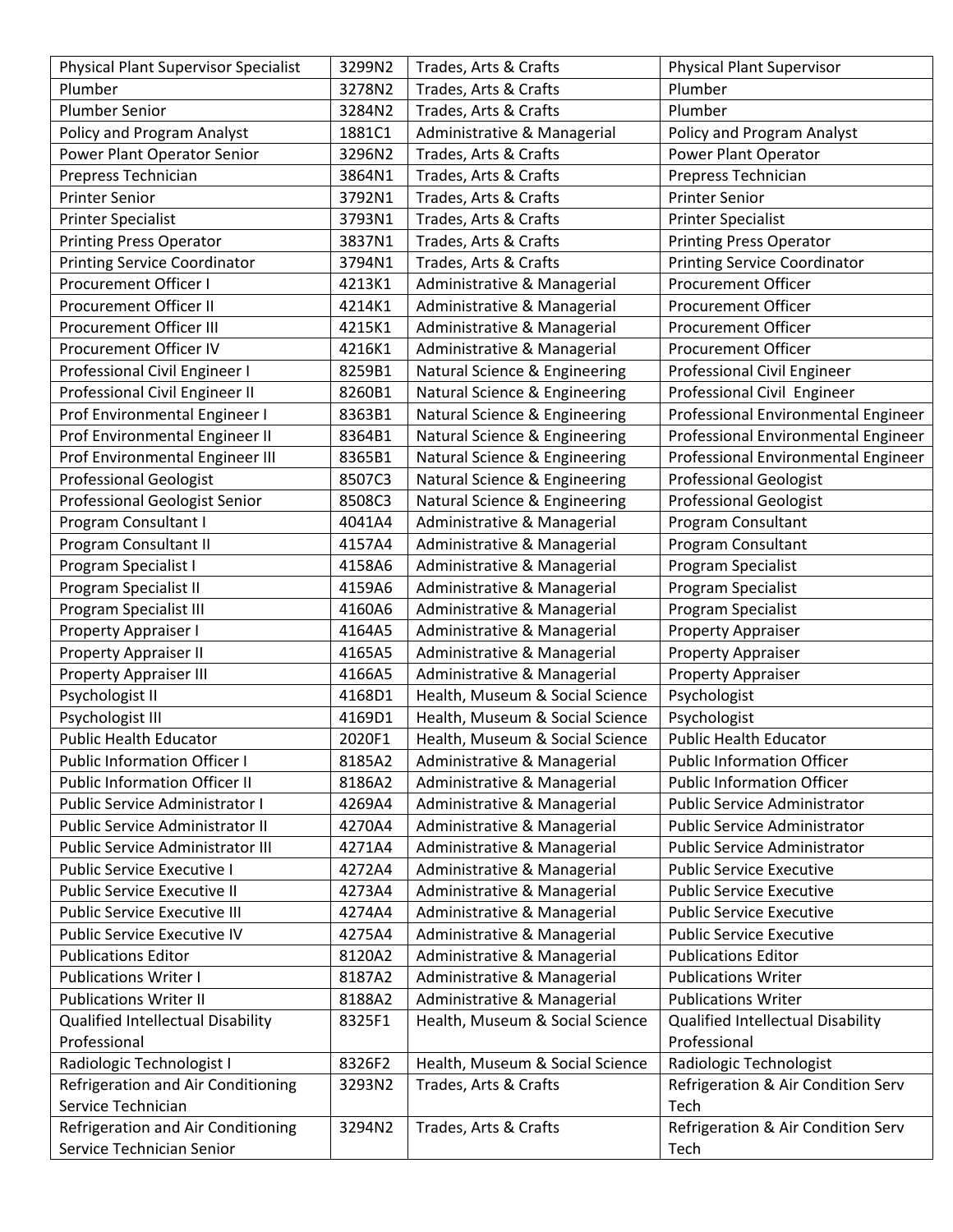| <b>Physical Plant Supervisor Specialist</b> | 3299N2 | Trades, Arts & Crafts           | <b>Physical Plant Supervisor</b>    |
|---------------------------------------------|--------|---------------------------------|-------------------------------------|
| Plumber                                     | 3278N2 | Trades, Arts & Crafts           | Plumber                             |
| <b>Plumber Senior</b>                       | 3284N2 | Trades, Arts & Crafts           | Plumber                             |
| Policy and Program Analyst                  | 1881C1 | Administrative & Managerial     | Policy and Program Analyst          |
| Power Plant Operator Senior                 | 3296N2 | Trades, Arts & Crafts           | Power Plant Operator                |
| Prepress Technician                         | 3864N1 | Trades, Arts & Crafts           | Prepress Technician                 |
| <b>Printer Senior</b>                       | 3792N1 | Trades, Arts & Crafts           | <b>Printer Senior</b>               |
| <b>Printer Specialist</b>                   | 3793N1 | Trades, Arts & Crafts           | <b>Printer Specialist</b>           |
| <b>Printing Press Operator</b>              | 3837N1 | Trades, Arts & Crafts           | <b>Printing Press Operator</b>      |
| <b>Printing Service Coordinator</b>         | 3794N1 | Trades, Arts & Crafts           | <b>Printing Service Coordinator</b> |
| <b>Procurement Officer I</b>                | 4213K1 | Administrative & Managerial     | <b>Procurement Officer</b>          |
| Procurement Officer II                      | 4214K1 | Administrative & Managerial     | Procurement Officer                 |
| Procurement Officer III                     | 4215K1 | Administrative & Managerial     | <b>Procurement Officer</b>          |
| Procurement Officer IV                      | 4216K1 | Administrative & Managerial     | Procurement Officer                 |
| Professional Civil Engineer I               | 8259B1 | Natural Science & Engineering   | <b>Professional Civil Engineer</b>  |
| Professional Civil Engineer II              | 8260B1 | Natural Science & Engineering   | Professional Civil Engineer         |
| Prof Environmental Engineer I               | 8363B1 | Natural Science & Engineering   | Professional Environmental Engineer |
| Prof Environmental Engineer II              | 8364B1 | Natural Science & Engineering   | Professional Environmental Engineer |
| Prof Environmental Engineer III             | 8365B1 | Natural Science & Engineering   | Professional Environmental Engineer |
| <b>Professional Geologist</b>               | 8507C3 | Natural Science & Engineering   | <b>Professional Geologist</b>       |
| Professional Geologist Senior               | 8508C3 | Natural Science & Engineering   | <b>Professional Geologist</b>       |
| Program Consultant I                        | 4041A4 | Administrative & Managerial     | Program Consultant                  |
| Program Consultant II                       | 4157A4 | Administrative & Managerial     | Program Consultant                  |
| Program Specialist I                        | 4158A6 | Administrative & Managerial     | Program Specialist                  |
| Program Specialist II                       | 4159A6 | Administrative & Managerial     | Program Specialist                  |
| Program Specialist III                      | 4160A6 | Administrative & Managerial     | Program Specialist                  |
| Property Appraiser I                        | 4164A5 | Administrative & Managerial     | Property Appraiser                  |
| Property Appraiser II                       | 4165A5 | Administrative & Managerial     | <b>Property Appraiser</b>           |
| <b>Property Appraiser III</b>               | 4166A5 | Administrative & Managerial     | <b>Property Appraiser</b>           |
| Psychologist II                             | 4168D1 | Health, Museum & Social Science | Psychologist                        |
| Psychologist III                            | 4169D1 | Health, Museum & Social Science | Psychologist                        |
| <b>Public Health Educator</b>               | 2020F1 | Health, Museum & Social Science | <b>Public Health Educator</b>       |
| <b>Public Information Officer I</b>         | 8185A2 | Administrative & Managerial     | <b>Public Information Officer</b>   |
| <b>Public Information Officer II</b>        | 8186A2 | Administrative & Managerial     | <b>Public Information Officer</b>   |
| Public Service Administrator I              | 4269A4 | Administrative & Managerial     | Public Service Administrator        |
| <b>Public Service Administrator II</b>      | 4270A4 | Administrative & Managerial     | Public Service Administrator        |
| Public Service Administrator III            | 4271A4 | Administrative & Managerial     | <b>Public Service Administrator</b> |
| Public Service Executive I                  | 4272A4 | Administrative & Managerial     | <b>Public Service Executive</b>     |
| <b>Public Service Executive II</b>          | 4273A4 | Administrative & Managerial     | <b>Public Service Executive</b>     |
| <b>Public Service Executive III</b>         | 4274A4 | Administrative & Managerial     | <b>Public Service Executive</b>     |
| Public Service Executive IV                 | 4275A4 | Administrative & Managerial     | <b>Public Service Executive</b>     |
| <b>Publications Editor</b>                  | 8120A2 | Administrative & Managerial     | <b>Publications Editor</b>          |
| <b>Publications Writer I</b>                | 8187A2 | Administrative & Managerial     | <b>Publications Writer</b>          |
| <b>Publications Writer II</b>               | 8188A2 | Administrative & Managerial     | <b>Publications Writer</b>          |
| Qualified Intellectual Disability           | 8325F1 | Health, Museum & Social Science | Qualified Intellectual Disability   |
| Professional                                |        |                                 | Professional                        |
| Radiologic Technologist I                   | 8326F2 | Health, Museum & Social Science | Radiologic Technologist             |
| Refrigeration and Air Conditioning          | 3293N2 | Trades, Arts & Crafts           | Refrigeration & Air Condition Serv  |
| Service Technician                          |        |                                 | Tech                                |
| Refrigeration and Air Conditioning          | 3294N2 | Trades, Arts & Crafts           | Refrigeration & Air Condition Serv  |
| Service Technician Senior                   |        |                                 | Tech                                |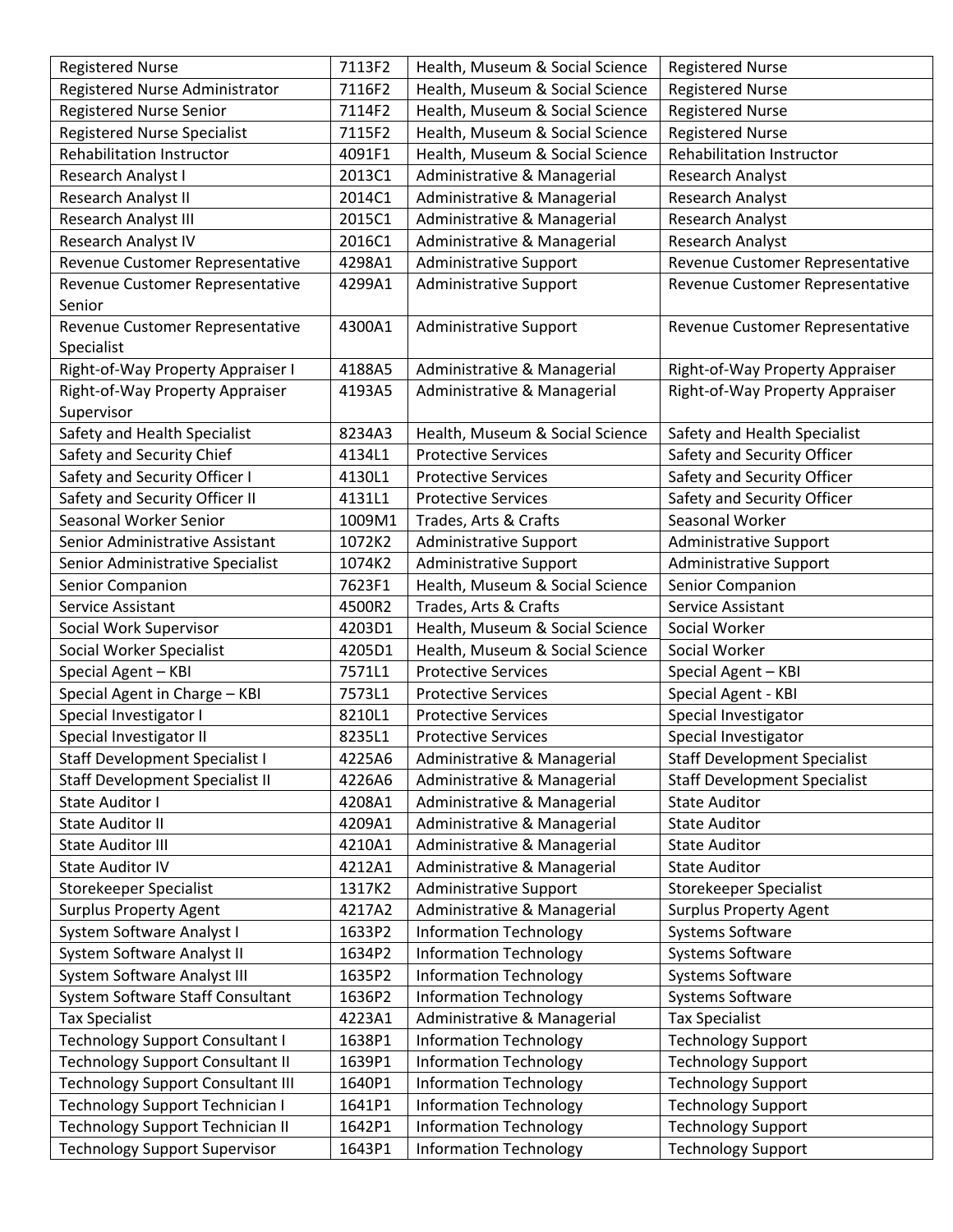| <b>Registered Nurse</b>                  | 7113F2 | Health, Museum & Social Science | <b>Registered Nurse</b>             |
|------------------------------------------|--------|---------------------------------|-------------------------------------|
| Registered Nurse Administrator           | 7116F2 | Health, Museum & Social Science | <b>Registered Nurse</b>             |
| <b>Registered Nurse Senior</b>           | 7114F2 | Health, Museum & Social Science | <b>Registered Nurse</b>             |
| <b>Registered Nurse Specialist</b>       | 7115F2 | Health, Museum & Social Science | <b>Registered Nurse</b>             |
| Rehabilitation Instructor                | 4091F1 | Health, Museum & Social Science | Rehabilitation Instructor           |
| Research Analyst I                       | 2013C1 | Administrative & Managerial     | Research Analyst                    |
| Research Analyst II                      | 2014C1 | Administrative & Managerial     | Research Analyst                    |
| Research Analyst III                     | 2015C1 | Administrative & Managerial     | Research Analyst                    |
| Research Analyst IV                      | 2016C1 | Administrative & Managerial     | Research Analyst                    |
| Revenue Customer Representative          | 4298A1 | <b>Administrative Support</b>   | Revenue Customer Representative     |
| Revenue Customer Representative          | 4299A1 | <b>Administrative Support</b>   | Revenue Customer Representative     |
| Senior                                   |        |                                 |                                     |
| Revenue Customer Representative          | 4300A1 | Administrative Support          | Revenue Customer Representative     |
| Specialist                               |        |                                 |                                     |
| Right-of-Way Property Appraiser I        | 4188A5 | Administrative & Managerial     | Right-of-Way Property Appraiser     |
| Right-of-Way Property Appraiser          | 4193A5 | Administrative & Managerial     | Right-of-Way Property Appraiser     |
| Supervisor                               |        |                                 |                                     |
| Safety and Health Specialist             | 8234A3 | Health, Museum & Social Science | Safety and Health Specialist        |
| Safety and Security Chief                | 4134L1 | <b>Protective Services</b>      | Safety and Security Officer         |
| Safety and Security Officer I            | 4130L1 | <b>Protective Services</b>      | Safety and Security Officer         |
| Safety and Security Officer II           | 4131L1 | <b>Protective Services</b>      | Safety and Security Officer         |
| Seasonal Worker Senior                   | 1009M1 | Trades, Arts & Crafts           | Seasonal Worker                     |
| Senior Administrative Assistant          | 1072K2 | <b>Administrative Support</b>   | <b>Administrative Support</b>       |
| Senior Administrative Specialist         | 1074K2 | Administrative Support          | Administrative Support              |
| Senior Companion                         | 7623F1 | Health, Museum & Social Science | Senior Companion                    |
| Service Assistant                        | 4500R2 | Trades, Arts & Crafts           | Service Assistant                   |
| Social Work Supervisor                   | 4203D1 | Health, Museum & Social Science | Social Worker                       |
| Social Worker Specialist                 | 4205D1 | Health, Museum & Social Science | Social Worker                       |
| Special Agent - KBI                      | 7571L1 | <b>Protective Services</b>      | Special Agent - KBI                 |
| Special Agent in Charge - KBI            | 7573L1 | <b>Protective Services</b>      | Special Agent - KBI                 |
| Special Investigator I                   | 8210L1 | <b>Protective Services</b>      | Special Investigator                |
| Special Investigator II                  | 8235L1 | <b>Protective Services</b>      | Special Investigator                |
| <b>Staff Development Specialist I</b>    | 4225A6 | Administrative & Managerial     | <b>Staff Development Specialist</b> |
| <b>Staff Development Specialist II</b>   | 4226A6 | Administrative & Managerial     | <b>Staff Development Specialist</b> |
| State Auditor I                          | 4208A1 | Administrative & Managerial     | <b>State Auditor</b>                |
| <b>State Auditor II</b>                  | 4209A1 | Administrative & Managerial     | <b>State Auditor</b>                |
| <b>State Auditor III</b>                 | 4210A1 | Administrative & Managerial     | <b>State Auditor</b>                |
| <b>State Auditor IV</b>                  | 4212A1 | Administrative & Managerial     | <b>State Auditor</b>                |
| Storekeeper Specialist                   | 1317K2 | <b>Administrative Support</b>   | <b>Storekeeper Specialist</b>       |
| <b>Surplus Property Agent</b>            | 4217A2 | Administrative & Managerial     | <b>Surplus Property Agent</b>       |
| System Software Analyst I                | 1633P2 | <b>Information Technology</b>   | Systems Software                    |
| System Software Analyst II               | 1634P2 | <b>Information Technology</b>   | Systems Software                    |
| System Software Analyst III              | 1635P2 | <b>Information Technology</b>   | Systems Software                    |
| System Software Staff Consultant         | 1636P2 | <b>Information Technology</b>   | Systems Software                    |
| <b>Tax Specialist</b>                    | 4223A1 | Administrative & Managerial     | <b>Tax Specialist</b>               |
| <b>Technology Support Consultant I</b>   | 1638P1 | <b>Information Technology</b>   | <b>Technology Support</b>           |
| <b>Technology Support Consultant II</b>  | 1639P1 | <b>Information Technology</b>   | <b>Technology Support</b>           |
| <b>Technology Support Consultant III</b> | 1640P1 | <b>Information Technology</b>   | <b>Technology Support</b>           |
| <b>Technology Support Technician I</b>   | 1641P1 | <b>Information Technology</b>   | <b>Technology Support</b>           |
| <b>Technology Support Technician II</b>  | 1642P1 | <b>Information Technology</b>   | <b>Technology Support</b>           |
| <b>Technology Support Supervisor</b>     | 1643P1 | <b>Information Technology</b>   | <b>Technology Support</b>           |